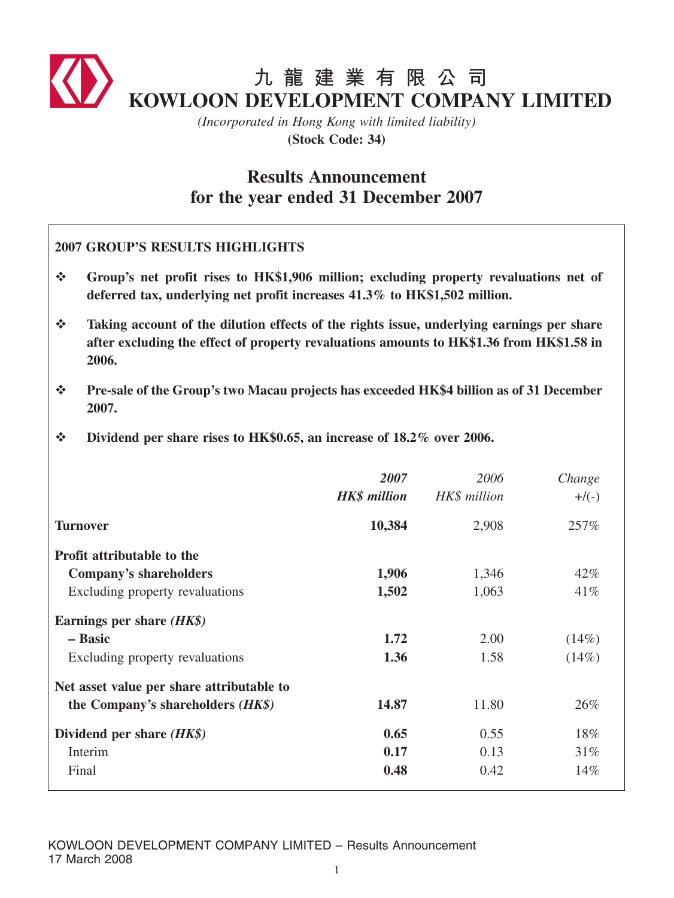

*(Incorporated in Hong Kong with limited liability)* **(Stock Code: 34)**

# **Results Announcement for the year ended 31 December 2007**

|               | <b>2007 GROUP'S RESULTS HIGHLIGHTS</b>                                                                                                                                                         |                             |                      |                    |  |  |  |
|---------------|------------------------------------------------------------------------------------------------------------------------------------------------------------------------------------------------|-----------------------------|----------------------|--------------------|--|--|--|
| $\frac{1}{2}$ | Group's net profit rises to HK\$1,906 million; excluding property revaluations net of<br>deferred tax, underlying net profit increases 41.3% to HK\$1,502 million.                             |                             |                      |                    |  |  |  |
| $\frac{1}{2}$ | Taking account of the dilution effects of the rights issue, underlying earnings per share<br>after excluding the effect of property revaluations amounts to HK\$1.36 from HK\$1.58 in<br>2006. |                             |                      |                    |  |  |  |
| $\frac{1}{2}$ | Pre-sale of the Group's two Macau projects has exceeded HK\$4 billion as of 31 December<br>2007.                                                                                               |                             |                      |                    |  |  |  |
| $\frac{1}{2}$ | Dividend per share rises to HK\$0.65, an increase of 18.2% over 2006.                                                                                                                          |                             |                      |                    |  |  |  |
|               |                                                                                                                                                                                                | 2007<br><b>HK\$</b> million | 2006<br>HK\$ million | Change<br>$+$ /(-) |  |  |  |
|               | <b>Turnover</b>                                                                                                                                                                                | 10,384                      | 2,908                | 257%               |  |  |  |
|               | Profit attributable to the<br><b>Company's shareholders</b><br>Excluding property revaluations                                                                                                 | 1,906<br>1,502              | 1,346<br>1,063       | 42%<br>41%         |  |  |  |
|               | Earnings per share $(HK\$ )<br>- Basic<br>Excluding property revaluations                                                                                                                      | 1.72<br>1.36                | 2.00<br>1.58         | (14%)<br>(14%)     |  |  |  |
|               | Net asset value per share attributable to<br>the Company's shareholders (HK\$)                                                                                                                 | 14.87                       | 11.80                | 26%                |  |  |  |
|               | Dividend per share $(HK\$ )<br>Interim<br>Final                                                                                                                                                | 0.65<br>0.17<br>0.48        | 0.55<br>0.13<br>0.42 | 18%<br>31%<br>14%  |  |  |  |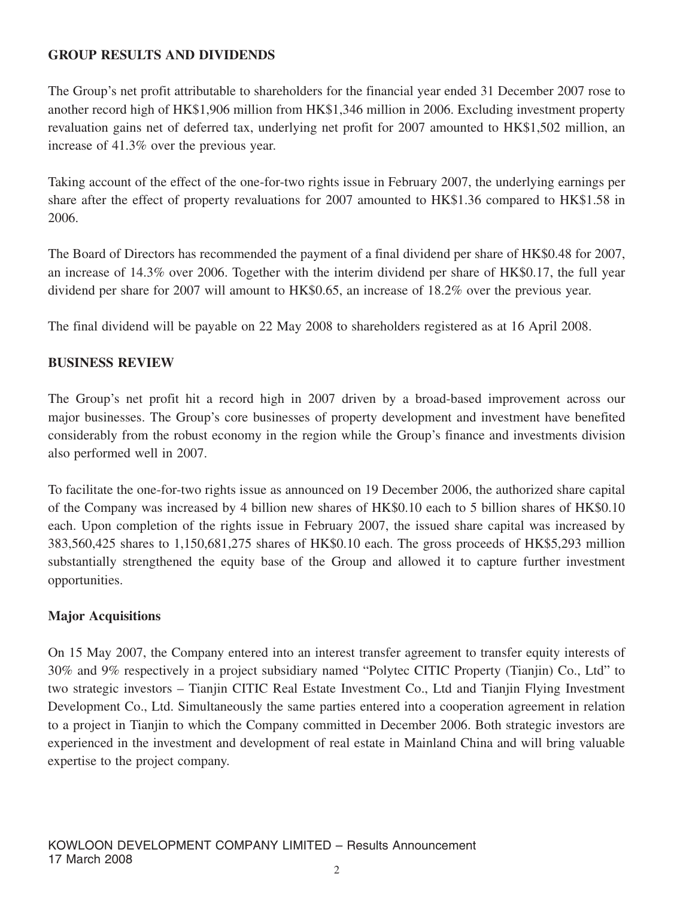# **GROUP RESULTS AND DIVIDENDS**

The Group's net profit attributable to shareholders for the financial year ended 31 December 2007 rose to another record high of HK\$1,906 million from HK\$1,346 million in 2006. Excluding investment property revaluation gains net of deferred tax, underlying net profit for 2007 amounted to HK\$1,502 million, an increase of 41.3% over the previous year.

Taking account of the effect of the one-for-two rights issue in February 2007, the underlying earnings per share after the effect of property revaluations for 2007 amounted to HK\$1.36 compared to HK\$1.58 in 2006.

The Board of Directors has recommended the payment of a final dividend per share of HK\$0.48 for 2007, an increase of 14.3% over 2006. Together with the interim dividend per share of HK\$0.17, the full year dividend per share for 2007 will amount to HK\$0.65, an increase of 18.2% over the previous year.

The final dividend will be payable on 22 May 2008 to shareholders registered as at 16 April 2008.

# **BUSINESS REVIEW**

The Group's net profit hit a record high in 2007 driven by a broad-based improvement across our major businesses. The Group's core businesses of property development and investment have benefited considerably from the robust economy in the region while the Group's finance and investments division also performed well in 2007.

To facilitate the one-for-two rights issue as announced on 19 December 2006, the authorized share capital of the Company was increased by 4 billion new shares of HK\$0.10 each to 5 billion shares of HK\$0.10 each. Upon completion of the rights issue in February 2007, the issued share capital was increased by 383,560,425 shares to 1,150,681,275 shares of HK\$0.10 each. The gross proceeds of HK\$5,293 million substantially strengthened the equity base of the Group and allowed it to capture further investment opportunities.

# **Major Acquisitions**

On 15 May 2007, the Company entered into an interest transfer agreement to transfer equity interests of 30% and 9% respectively in a project subsidiary named "Polytec CITIC Property (Tianjin) Co., Ltd" to two strategic investors – Tianjin CITIC Real Estate Investment Co., Ltd and Tianjin Flying Investment Development Co., Ltd. Simultaneously the same parties entered into a cooperation agreement in relation to a project in Tianjin to which the Company committed in December 2006. Both strategic investors are experienced in the investment and development of real estate in Mainland China and will bring valuable expertise to the project company.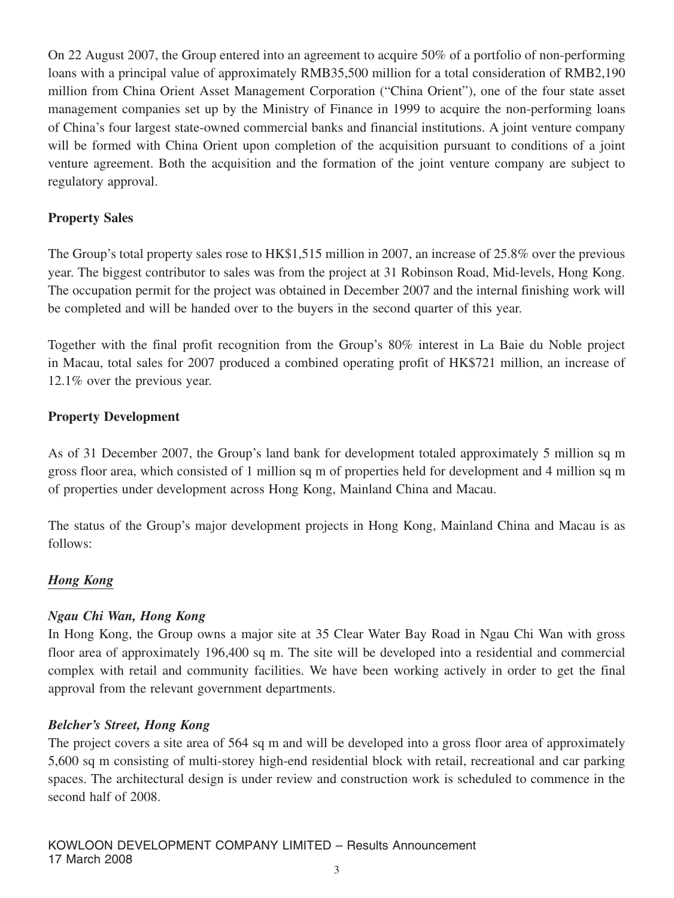On 22 August 2007, the Group entered into an agreement to acquire 50% of a portfolio of non-performing loans with a principal value of approximately RMB35,500 million for a total consideration of RMB2,190 million from China Orient Asset Management Corporation ("China Orient"), one of the four state asset management companies set up by the Ministry of Finance in 1999 to acquire the non-performing loans of China's four largest state-owned commercial banks and financial institutions. A joint venture company will be formed with China Orient upon completion of the acquisition pursuant to conditions of a joint venture agreement. Both the acquisition and the formation of the joint venture company are subject to regulatory approval.

# **Property Sales**

The Group's total property sales rose to HK\$1,515 million in 2007, an increase of 25.8% over the previous year. The biggest contributor to sales was from the project at 31 Robinson Road, Mid-levels, Hong Kong. The occupation permit for the project was obtained in December 2007 and the internal finishing work will be completed and will be handed over to the buyers in the second quarter of this year.

Together with the final profit recognition from the Group's 80% interest in La Baie du Noble project in Macau, total sales for 2007 produced a combined operating profit of HK\$721 million, an increase of 12.1% over the previous year.

# **Property Development**

As of 31 December 2007, the Group's land bank for development totaled approximately 5 million sq m gross floor area, which consisted of 1 million sq m of properties held for development and 4 million sq m of properties under development across Hong Kong, Mainland China and Macau.

The status of the Group's major development projects in Hong Kong, Mainland China and Macau is as follows:

# *Hong Kong*

# *Ngau Chi Wan, Hong Kong*

In Hong Kong, the Group owns a major site at 35 Clear Water Bay Road in Ngau Chi Wan with gross floor area of approximately 196,400 sq m. The site will be developed into a residential and commercial complex with retail and community facilities. We have been working actively in order to get the final approval from the relevant government departments.

# *Belcher's Street, Hong Kong*

The project covers a site area of 564 sq m and will be developed into a gross floor area of approximately 5,600 sq m consisting of multi-storey high-end residential block with retail, recreational and car parking spaces. The architectural design is under review and construction work is scheduled to commence in the second half of 2008.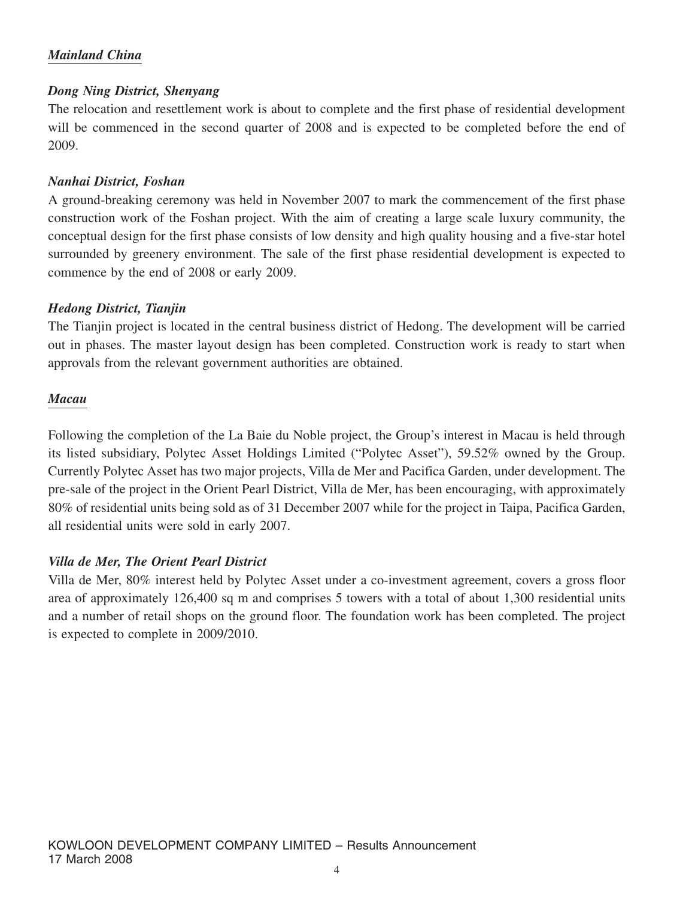# *Mainland China*

## *Dong Ning District, Shenyang*

The relocation and resettlement work is about to complete and the first phase of residential development will be commenced in the second quarter of 2008 and is expected to be completed before the end of 2009.

## *Nanhai District, Foshan*

A ground-breaking ceremony was held in November 2007 to mark the commencement of the first phase construction work of the Foshan project. With the aim of creating a large scale luxury community, the conceptual design for the first phase consists of low density and high quality housing and a five-star hotel surrounded by greenery environment. The sale of the first phase residential development is expected to commence by the end of 2008 or early 2009.

## *Hedong District, Tianjin*

The Tianjin project is located in the central business district of Hedong. The development will be carried out in phases. The master layout design has been completed. Construction work is ready to start when approvals from the relevant government authorities are obtained.

## *Macau*

Following the completion of the La Baie du Noble project, the Group's interest in Macau is held through its listed subsidiary, Polytec Asset Holdings Limited ("Polytec Asset"), 59.52% owned by the Group. Currently Polytec Asset has two major projects, Villa de Mer and Pacifica Garden, under development. The pre-sale of the project in the Orient Pearl District, Villa de Mer, has been encouraging, with approximately 80% of residential units being sold as of 31 December 2007 while for the project in Taipa, Pacifica Garden, all residential units were sold in early 2007.

# *Villa de Mer, The Orient Pearl District*

Villa de Mer, 80% interest held by Polytec Asset under a co-investment agreement, covers a gross floor area of approximately 126,400 sq m and comprises 5 towers with a total of about 1,300 residential units and a number of retail shops on the ground floor. The foundation work has been completed. The project is expected to complete in 2009/2010.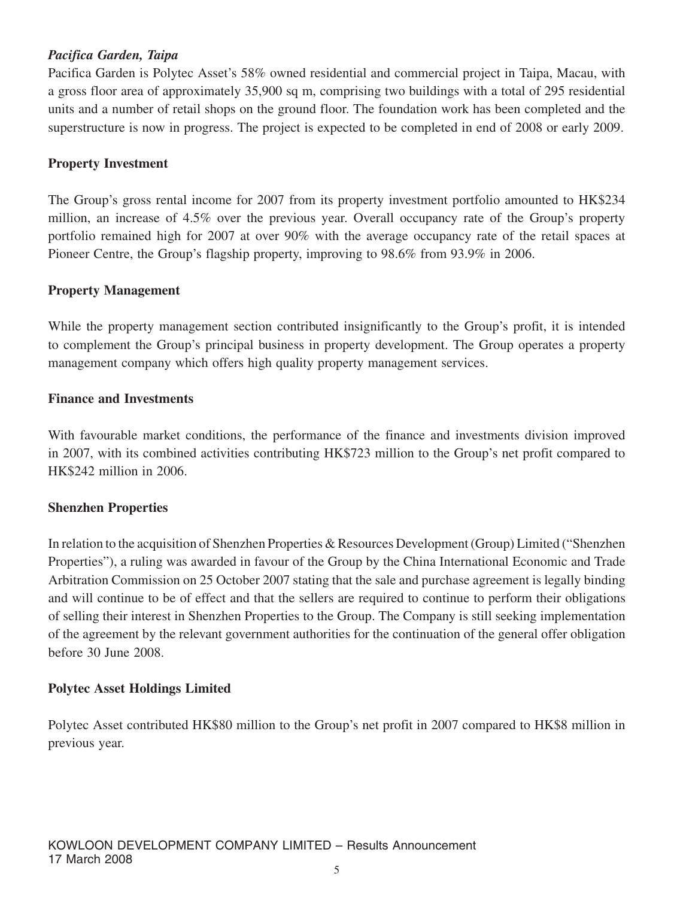# *Pacifica Garden, Taipa*

Pacifica Garden is Polytec Asset's 58% owned residential and commercial project in Taipa, Macau, with a gross floor area of approximately 35,900 sq m, comprising two buildings with a total of 295 residential units and a number of retail shops on the ground floor. The foundation work has been completed and the superstructure is now in progress. The project is expected to be completed in end of 2008 or early 2009.

# **Property Investment**

The Group's gross rental income for 2007 from its property investment portfolio amounted to HK\$234 million, an increase of 4.5% over the previous year. Overall occupancy rate of the Group's property portfolio remained high for 2007 at over 90% with the average occupancy rate of the retail spaces at Pioneer Centre, the Group's flagship property, improving to 98.6% from 93.9% in 2006.

# **Property Management**

While the property management section contributed insignificantly to the Group's profit, it is intended to complement the Group's principal business in property development. The Group operates a property management company which offers high quality property management services.

## **Finance and Investments**

With favourable market conditions, the performance of the finance and investments division improved in 2007, with its combined activities contributing HK\$723 million to the Group's net profit compared to HK\$242 million in 2006.

# **Shenzhen Properties**

In relation to the acquisition of Shenzhen Properties & Resources Development (Group) Limited ("Shenzhen Properties"), a ruling was awarded in favour of the Group by the China International Economic and Trade Arbitration Commission on 25 October 2007 stating that the sale and purchase agreement is legally binding and will continue to be of effect and that the sellers are required to continue to perform their obligations of selling their interest in Shenzhen Properties to the Group. The Company is still seeking implementation of the agreement by the relevant government authorities for the continuation of the general offer obligation before 30 June 2008.

# **Polytec Asset Holdings Limited**

Polytec Asset contributed HK\$80 million to the Group's net profit in 2007 compared to HK\$8 million in previous year.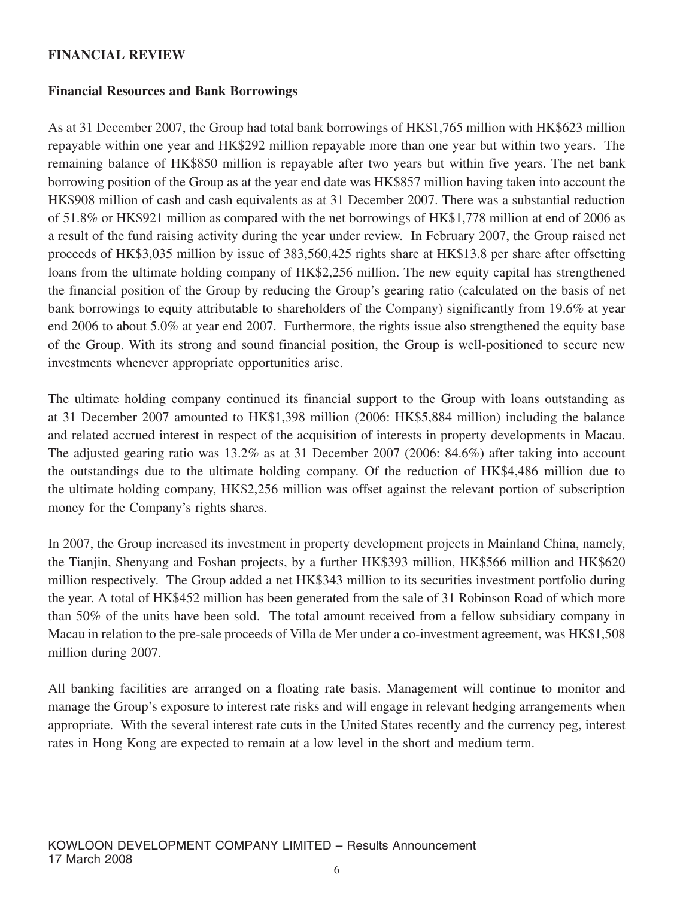## **FINANCIAL REVIEW**

## **Financial Resources and Bank Borrowings**

As at 31 December 2007, the Group had total bank borrowings of HK\$1,765 million with HK\$623 million repayable within one year and HK\$292 million repayable more than one year but within two years. The remaining balance of HK\$850 million is repayable after two years but within five years. The net bank borrowing position of the Group as at the year end date was HK\$857 million having taken into account the HK\$908 million of cash and cash equivalents as at 31 December 2007. There was a substantial reduction of 51.8% or HK\$921 million as compared with the net borrowings of HK\$1,778 million at end of 2006 as a result of the fund raising activity during the year under review. In February 2007, the Group raised net proceeds of HK\$3,035 million by issue of 383,560,425 rights share at HK\$13.8 per share after offsetting loans from the ultimate holding company of HK\$2,256 million. The new equity capital has strengthened the financial position of the Group by reducing the Group's gearing ratio (calculated on the basis of net bank borrowings to equity attributable to shareholders of the Company) significantly from 19.6% at year end 2006 to about 5.0% at year end 2007. Furthermore, the rights issue also strengthened the equity base of the Group. With its strong and sound financial position, the Group is well-positioned to secure new investments whenever appropriate opportunities arise.

The ultimate holding company continued its financial support to the Group with loans outstanding as at 31 December 2007 amounted to HK\$1,398 million (2006: HK\$5,884 million) including the balance and related accrued interest in respect of the acquisition of interests in property developments in Macau. The adjusted gearing ratio was 13.2% as at 31 December 2007 (2006: 84.6%) after taking into account the outstandings due to the ultimate holding company. Of the reduction of HK\$4,486 million due to the ultimate holding company, HK\$2,256 million was offset against the relevant portion of subscription money for the Company's rights shares.

In 2007, the Group increased its investment in property development projects in Mainland China, namely, the Tianjin, Shenyang and Foshan projects, by a further HK\$393 million, HK\$566 million and HK\$620 million respectively. The Group added a net HK\$343 million to its securities investment portfolio during the year. A total of HK\$452 million has been generated from the sale of 31 Robinson Road of which more than 50% of the units have been sold. The total amount received from a fellow subsidiary company in Macau in relation to the pre-sale proceeds of Villa de Mer under a co-investment agreement, was HK\$1,508 million during 2007.

All banking facilities are arranged on a floating rate basis. Management will continue to monitor and manage the Group's exposure to interest rate risks and will engage in relevant hedging arrangements when appropriate. With the several interest rate cuts in the United States recently and the currency peg, interest rates in Hong Kong are expected to remain at a low level in the short and medium term.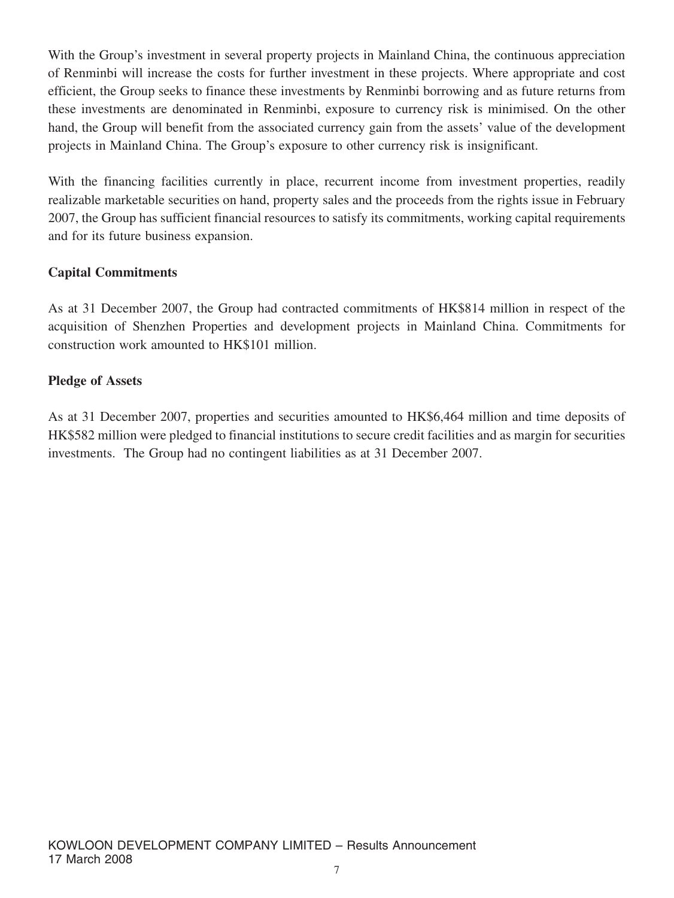With the Group's investment in several property projects in Mainland China, the continuous appreciation of Renminbi will increase the costs for further investment in these projects. Where appropriate and cost efficient, the Group seeks to finance these investments by Renminbi borrowing and as future returns from these investments are denominated in Renminbi, exposure to currency risk is minimised. On the other hand, the Group will benefit from the associated currency gain from the assets' value of the development projects in Mainland China. The Group's exposure to other currency risk is insignificant.

With the financing facilities currently in place, recurrent income from investment properties, readily realizable marketable securities on hand, property sales and the proceeds from the rights issue in February 2007, the Group has sufficient financial resources to satisfy its commitments, working capital requirements and for its future business expansion.

# **Capital Commitments**

As at 31 December 2007, the Group had contracted commitments of HK\$814 million in respect of the acquisition of Shenzhen Properties and development projects in Mainland China. Commitments for construction work amounted to HK\$101 million.

# **Pledge of Assets**

As at 31 December 2007, properties and securities amounted to HK\$6,464 million and time deposits of HK\$582 million were pledged to financial institutions to secure credit facilities and as margin for securities investments. The Group had no contingent liabilities as at 31 December 2007.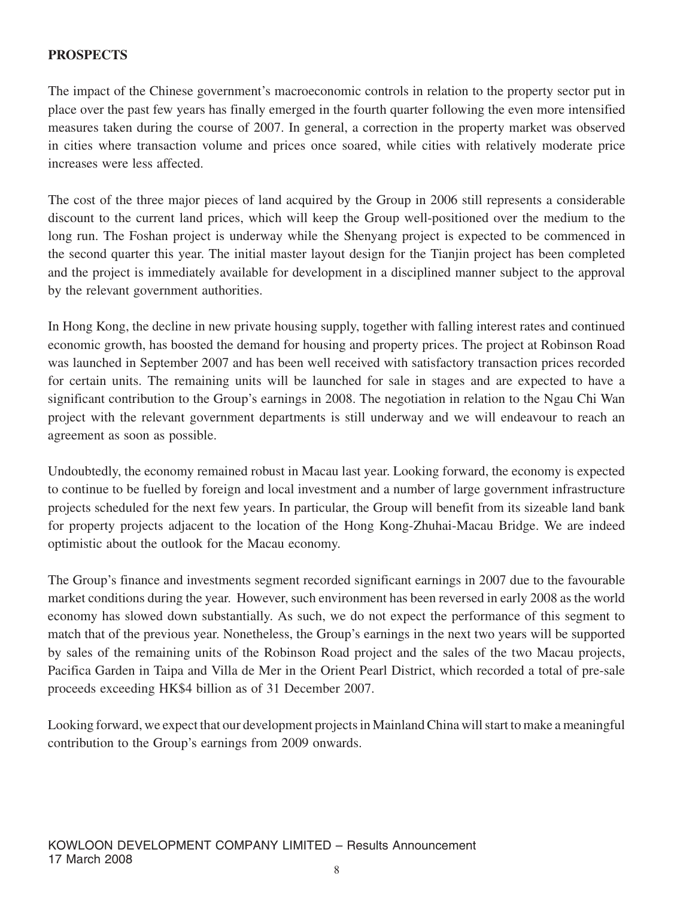# **PROSPECTS**

The impact of the Chinese government's macroeconomic controls in relation to the property sector put in place over the past few years has finally emerged in the fourth quarter following the even more intensified measures taken during the course of 2007. In general, a correction in the property market was observed in cities where transaction volume and prices once soared, while cities with relatively moderate price increases were less affected.

The cost of the three major pieces of land acquired by the Group in 2006 still represents a considerable discount to the current land prices, which will keep the Group well-positioned over the medium to the long run. The Foshan project is underway while the Shenyang project is expected to be commenced in the second quarter this year. The initial master layout design for the Tianjin project has been completed and the project is immediately available for development in a disciplined manner subject to the approval by the relevant government authorities.

In Hong Kong, the decline in new private housing supply, together with falling interest rates and continued economic growth, has boosted the demand for housing and property prices. The project at Robinson Road was launched in September 2007 and has been well received with satisfactory transaction prices recorded for certain units. The remaining units will be launched for sale in stages and are expected to have a significant contribution to the Group's earnings in 2008. The negotiation in relation to the Ngau Chi Wan project with the relevant government departments is still underway and we will endeavour to reach an agreement as soon as possible.

Undoubtedly, the economy remained robust in Macau last year. Looking forward, the economy is expected to continue to be fuelled by foreign and local investment and a number of large government infrastructure projects scheduled for the next few years. In particular, the Group will benefit from its sizeable land bank for property projects adjacent to the location of the Hong Kong-Zhuhai-Macau Bridge. We are indeed optimistic about the outlook for the Macau economy.

The Group's finance and investments segment recorded significant earnings in 2007 due to the favourable market conditions during the year. However, such environment has been reversed in early 2008 as the world economy has slowed down substantially. As such, we do not expect the performance of this segment to match that of the previous year. Nonetheless, the Group's earnings in the next two years will be supported by sales of the remaining units of the Robinson Road project and the sales of the two Macau projects, Pacifica Garden in Taipa and Villa de Mer in the Orient Pearl District, which recorded a total of pre-sale proceeds exceeding HK\$4 billion as of 31 December 2007.

Looking forward, we expect that our development projects in Mainland China will start to make a meaningful contribution to the Group's earnings from 2009 onwards.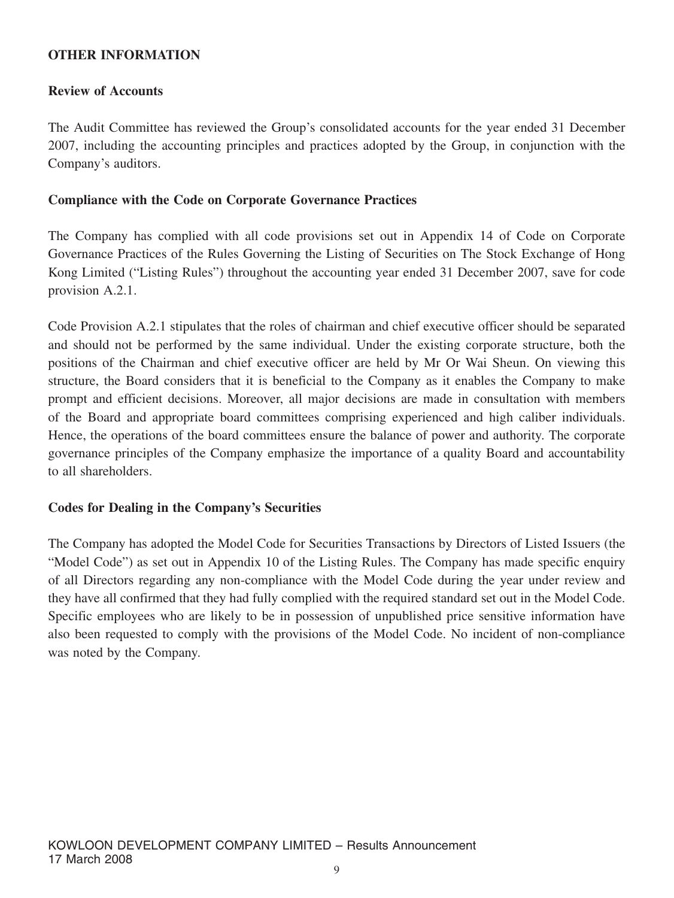## **OTHER INFORMATION**

## **Review of Accounts**

The Audit Committee has reviewed the Group's consolidated accounts for the year ended 31 December 2007, including the accounting principles and practices adopted by the Group, in conjunction with the Company's auditors.

#### **Compliance with the Code on Corporate Governance Practices**

The Company has complied with all code provisions set out in Appendix 14 of Code on Corporate Governance Practices of the Rules Governing the Listing of Securities on The Stock Exchange of Hong Kong Limited ("Listing Rules") throughout the accounting year ended 31 December 2007, save for code provision A.2.1.

Code Provision A.2.1 stipulates that the roles of chairman and chief executive officer should be separated and should not be performed by the same individual. Under the existing corporate structure, both the positions of the Chairman and chief executive officer are held by Mr Or Wai Sheun. On viewing this structure, the Board considers that it is beneficial to the Company as it enables the Company to make prompt and efficient decisions. Moreover, all major decisions are made in consultation with members of the Board and appropriate board committees comprising experienced and high caliber individuals. Hence, the operations of the board committees ensure the balance of power and authority. The corporate governance principles of the Company emphasize the importance of a quality Board and accountability to all shareholders.

#### **Codes for Dealing in the Company's Securities**

The Company has adopted the Model Code for Securities Transactions by Directors of Listed Issuers (the "Model Code") as set out in Appendix 10 of the Listing Rules. The Company has made specific enquiry of all Directors regarding any non-compliance with the Model Code during the year under review and they have all confirmed that they had fully complied with the required standard set out in the Model Code. Specific employees who are likely to be in possession of unpublished price sensitive information have also been requested to comply with the provisions of the Model Code. No incident of non-compliance was noted by the Company.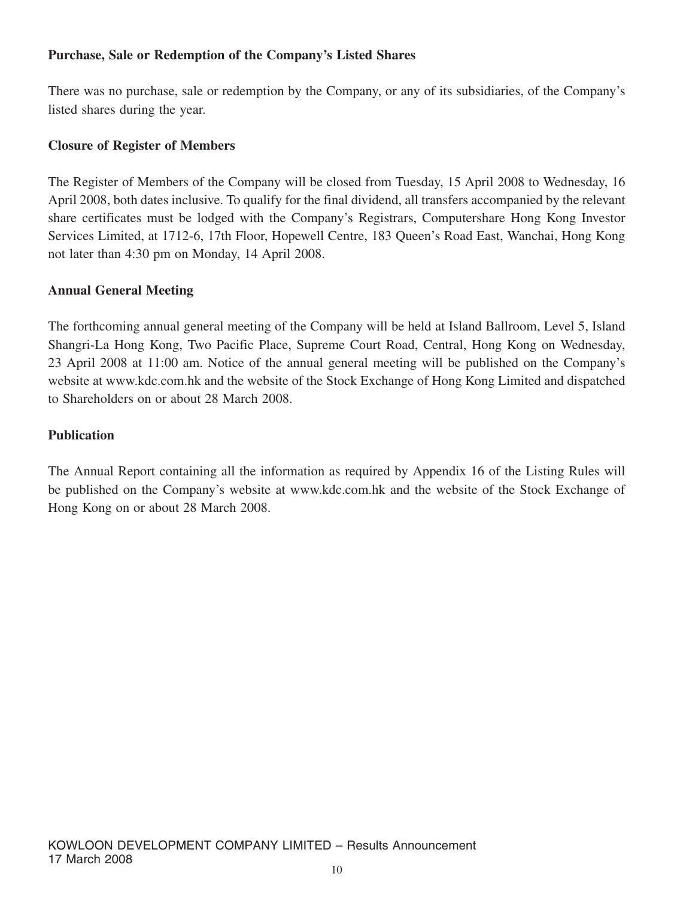# **Purchase, Sale or Redemption of the Company's Listed Shares**

There was no purchase, sale or redemption by the Company, or any of its subsidiaries, of the Company's listed shares during the year.

## **Closure of Register of Members**

The Register of Members of the Company will be closed from Tuesday, 15 April 2008 to Wednesday, 16 April 2008, both dates inclusive. To qualify for the final dividend, all transfers accompanied by the relevant share certificates must be lodged with the Company's Registrars, Computershare Hong Kong Investor Services Limited, at 1712-6, 17th Floor, Hopewell Centre, 183 Queen's Road East, Wanchai, Hong Kong not later than 4:30 pm on Monday, 14 April 2008.

## **Annual General Meeting**

The forthcoming annual general meeting of the Company will be held at Island Ballroom, Level 5, Island Shangri-La Hong Kong, Two Pacific Place, Supreme Court Road, Central, Hong Kong on Wednesday, 23 April 2008 at 11:00 am. Notice of the annual general meeting will be published on the Company's website at www.kdc.com.hk and the website of the Stock Exchange of Hong Kong Limited and dispatched to Shareholders on or about 28 March 2008.

## **Publication**

The Annual Report containing all the information as required by Appendix 16 of the Listing Rules will be published on the Company's website at www.kdc.com.hk and the website of the Stock Exchange of Hong Kong on or about 28 March 2008.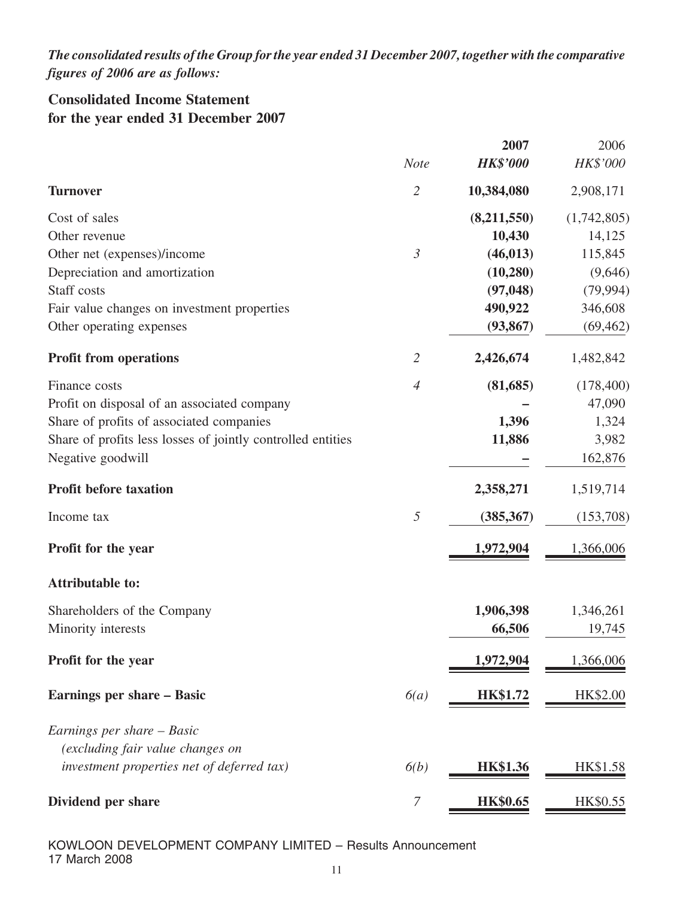*The consolidated results ofthe Group forthe year ended 31 December 2007, togetherwith the comparative figures of 2006 are as follows:*

# **Consolidated Income Statement for the year ended 31 December 2007**

|                                                             |                | 2007            | 2006        |
|-------------------------------------------------------------|----------------|-----------------|-------------|
|                                                             | <b>Note</b>    | <b>HK\$'000</b> | HK\$'000    |
| <b>Turnover</b>                                             | $\overline{2}$ | 10,384,080      | 2,908,171   |
| Cost of sales                                               |                | (8,211,550)     | (1,742,805) |
| Other revenue                                               |                | 10,430          | 14,125      |
| Other net (expenses)/income                                 | $\mathfrak{Z}$ | (46, 013)       | 115,845     |
| Depreciation and amortization                               |                | (10, 280)       | (9,646)     |
| Staff costs                                                 |                | (97, 048)       | (79, 994)   |
| Fair value changes on investment properties                 |                | 490,922         | 346,608     |
| Other operating expenses                                    |                | (93, 867)       | (69, 462)   |
| <b>Profit from operations</b>                               | $\overline{2}$ | 2,426,674       | 1,482,842   |
| Finance costs                                               | $\overline{4}$ | (81,685)        | (178, 400)  |
| Profit on disposal of an associated company                 |                |                 | 47,090      |
| Share of profits of associated companies                    |                | 1,396           | 1,324       |
| Share of profits less losses of jointly controlled entities |                | 11,886          | 3,982       |
| Negative goodwill                                           |                |                 | 162,876     |
| <b>Profit before taxation</b>                               |                | 2,358,271       | 1,519,714   |
| Income tax                                                  | $\mathfrak{I}$ | (385, 367)      | (153,708)   |
| Profit for the year                                         |                | 1,972,904       | 1,366,006   |
| <b>Attributable to:</b>                                     |                |                 |             |
| Shareholders of the Company                                 |                | 1,906,398       | 1,346,261   |
| Minority interests                                          |                | 66,506          | 19,745      |
| Profit for the year                                         |                | 1,972,904       | 1,366,006   |
| Earnings per share - Basic                                  | 6(a)           | <b>HK\$1.72</b> | HK\$2.00    |
| Earnings per share - Basic                                  |                |                 |             |
| (excluding fair value changes on                            |                |                 |             |
| investment properties net of deferred tax)                  | 6(b)           | <b>HK\$1.36</b> | HK\$1.58    |
| Dividend per share                                          | 7              | <b>HK\$0.65</b> | HK\$0.55    |
|                                                             |                |                 |             |

KOWLOON DEVELOPMENT COMPANY LIMITED – Results Announcement 17 March 2008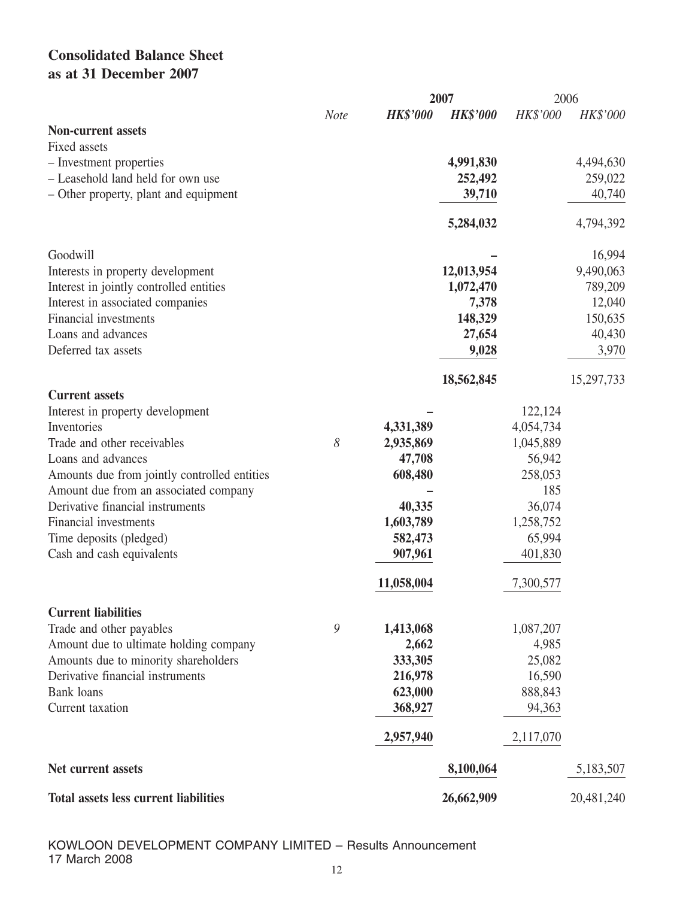# **Consolidated Balance Sheet as at 31 December 2007**

|                                              |             |                 | 2007            |           | 2006       |
|----------------------------------------------|-------------|-----------------|-----------------|-----------|------------|
|                                              | <b>Note</b> | <b>HK\$'000</b> | <b>HK\$'000</b> | HK\$'000  | HK\$'000   |
| <b>Non-current assets</b>                    |             |                 |                 |           |            |
| Fixed assets                                 |             |                 |                 |           |            |
| - Investment properties                      |             |                 | 4,991,830       |           | 4,494,630  |
| - Leasehold land held for own use            |             |                 | 252,492         |           | 259,022    |
| - Other property, plant and equipment        |             |                 | 39,710          |           | 40,740     |
|                                              |             |                 |                 |           |            |
|                                              |             |                 | 5,284,032       |           | 4,794,392  |
| Goodwill                                     |             |                 |                 |           | 16,994     |
| Interests in property development            |             |                 | 12,013,954      |           | 9,490,063  |
| Interest in jointly controlled entities      |             |                 | 1,072,470       |           | 789,209    |
| Interest in associated companies             |             |                 | 7,378           |           | 12,040     |
| <b>Financial investments</b>                 |             |                 | 148,329         |           | 150,635    |
| Loans and advances                           |             |                 | 27,654          |           | 40,430     |
| Deferred tax assets                          |             |                 | 9,028           |           | 3,970      |
|                                              |             |                 | 18,562,845      |           | 15,297,733 |
| <b>Current assets</b>                        |             |                 |                 |           |            |
| Interest in property development             |             |                 |                 | 122,124   |            |
| Inventories                                  |             | 4,331,389       |                 | 4,054,734 |            |
| Trade and other receivables                  | 8           | 2,935,869       |                 | 1,045,889 |            |
| Loans and advances                           |             | 47,708          |                 | 56,942    |            |
| Amounts due from jointly controlled entities |             | 608,480         |                 | 258,053   |            |
| Amount due from an associated company        |             |                 |                 | 185       |            |
| Derivative financial instruments             |             | 40,335          |                 | 36,074    |            |
| <b>Financial investments</b>                 |             | 1,603,789       |                 | 1,258,752 |            |
| Time deposits (pledged)                      |             | 582,473         |                 | 65,994    |            |
| Cash and cash equivalents                    |             | 907,961         |                 | 401,830   |            |
|                                              |             | 11,058,004      |                 | 7,300,577 |            |
| <b>Current liabilities</b>                   |             |                 |                 |           |            |
| Trade and other payables                     | 9           | 1,413,068       |                 | 1,087,207 |            |
| Amount due to ultimate holding company       |             | 2,662           |                 | 4,985     |            |
| Amounts due to minority shareholders         |             | 333,305         |                 | 25,082    |            |
| Derivative financial instruments             |             | 216,978         |                 | 16,590    |            |
| <b>Bank</b> loans                            |             | 623,000         |                 |           |            |
|                                              |             |                 |                 | 888,843   |            |
| Current taxation                             |             | 368,927         |                 | 94,363    |            |
|                                              |             | 2,957,940       |                 | 2,117,070 |            |
| Net current assets                           |             |                 | 8,100,064       |           | 5,183,507  |
| <b>Total assets less current liabilities</b> |             |                 | 26,662,909      |           | 20,481,240 |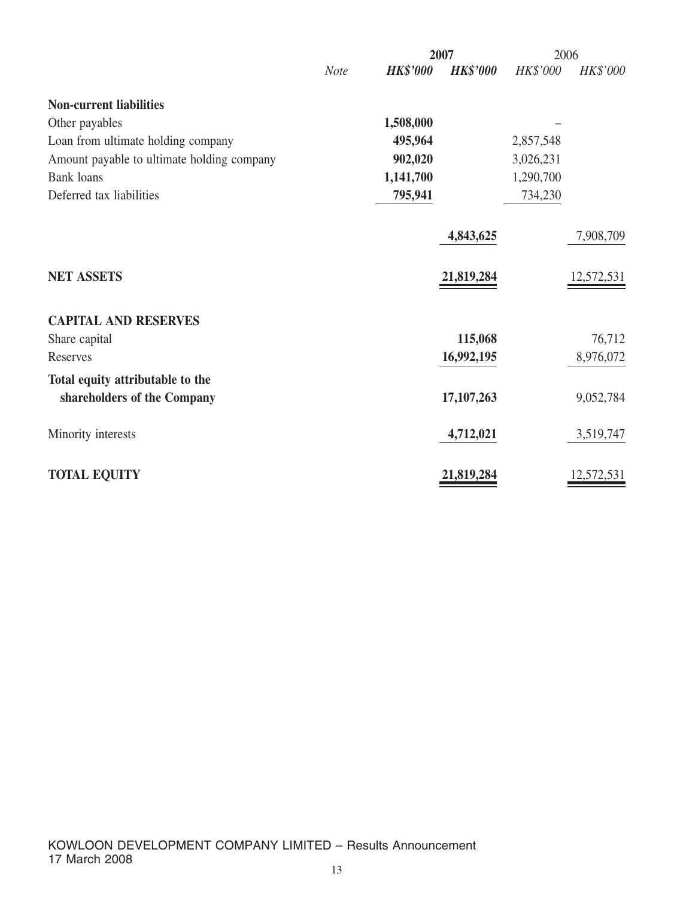|                                            | 2007        |                 |                   |           | 2006       |  |
|--------------------------------------------|-------------|-----------------|-------------------|-----------|------------|--|
|                                            | <b>Note</b> | <b>HK\$'000</b> | <b>HK\$'000</b>   | HK\$'000  | HK\$'000   |  |
| <b>Non-current liabilities</b>             |             |                 |                   |           |            |  |
| Other payables                             |             | 1,508,000       |                   |           |            |  |
| Loan from ultimate holding company         |             | 495,964         |                   | 2,857,548 |            |  |
| Amount payable to ultimate holding company |             | 902,020         |                   | 3,026,231 |            |  |
| <b>Bank</b> loans                          |             | 1,141,700       |                   | 1,290,700 |            |  |
| Deferred tax liabilities                   |             | 795,941         |                   | 734,230   |            |  |
|                                            |             |                 | 4,843,625         |           | 7,908,709  |  |
| <b>NET ASSETS</b>                          |             |                 | <u>21,819,284</u> |           | 12,572,531 |  |
| <b>CAPITAL AND RESERVES</b>                |             |                 |                   |           |            |  |
| Share capital                              |             |                 | 115,068           |           | 76,712     |  |
| Reserves                                   |             |                 | 16,992,195        |           | 8,976,072  |  |
| Total equity attributable to the           |             |                 |                   |           |            |  |
| shareholders of the Company                |             |                 | 17, 107, 263      |           | 9,052,784  |  |
| Minority interests                         |             |                 | 4,712,021         |           | 3,519,747  |  |
| <b>TOTAL EQUITY</b>                        |             |                 | 21,819,284        |           | 12,572,531 |  |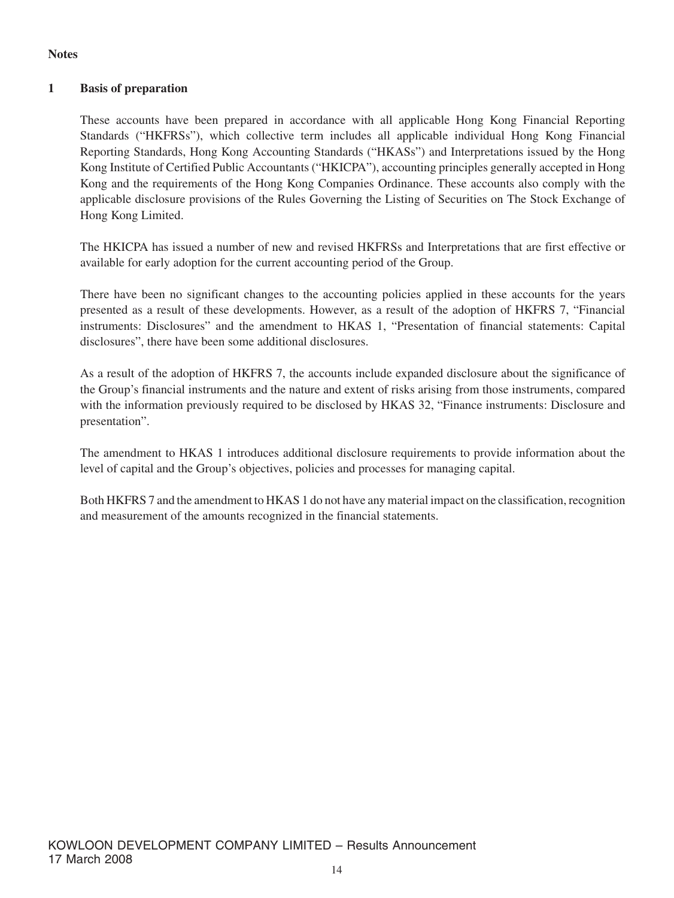#### **Notes**

#### **1 Basis of preparation**

These accounts have been prepared in accordance with all applicable Hong Kong Financial Reporting Standards ("HKFRSs"), which collective term includes all applicable individual Hong Kong Financial Reporting Standards, Hong Kong Accounting Standards ("HKASs") and Interpretations issued by the Hong Kong Institute of Certified Public Accountants ("HKICPA"), accounting principles generally accepted in Hong Kong and the requirements of the Hong Kong Companies Ordinance. These accounts also comply with the applicable disclosure provisions of the Rules Governing the Listing of Securities on The Stock Exchange of Hong Kong Limited.

The HKICPA has issued a number of new and revised HKFRSs and Interpretations that are first effective or available for early adoption for the current accounting period of the Group.

There have been no significant changes to the accounting policies applied in these accounts for the years presented as a result of these developments. However, as a result of the adoption of HKFRS 7, "Financial instruments: Disclosures" and the amendment to HKAS 1, "Presentation of financial statements: Capital disclosures", there have been some additional disclosures.

As a result of the adoption of HKFRS 7, the accounts include expanded disclosure about the significance of the Group's financial instruments and the nature and extent of risks arising from those instruments, compared with the information previously required to be disclosed by HKAS 32, "Finance instruments: Disclosure and presentation".

The amendment to HKAS 1 introduces additional disclosure requirements to provide information about the level of capital and the Group's objectives, policies and processes for managing capital.

Both HKFRS 7 and the amendment to HKAS 1 do not have any material impact on the classification, recognition and measurement of the amounts recognized in the financial statements.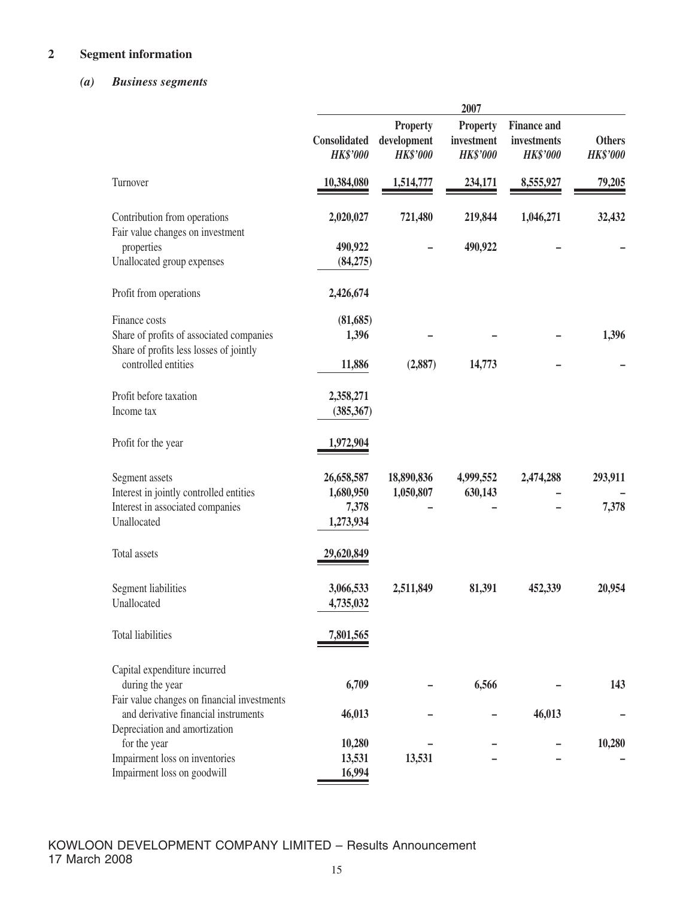# **2 Segment information**

## *(a) Business segments*

|                                                                                     |                                 |                                                   | 2007                                             |                                                      |                                  |
|-------------------------------------------------------------------------------------|---------------------------------|---------------------------------------------------|--------------------------------------------------|------------------------------------------------------|----------------------------------|
|                                                                                     | Consolidated<br><b>HK\$'000</b> | <b>Property</b><br>development<br><b>HK\$'000</b> | <b>Property</b><br>investment<br><b>HK\$'000</b> | <b>Finance and</b><br>investments<br><b>HK\$'000</b> | <b>Others</b><br><b>HK\$'000</b> |
| Turnover                                                                            | 10,384,080                      | 1,514,777                                         | 234,171                                          | 8,555,927                                            | 79,205                           |
| Contribution from operations<br>Fair value changes on investment                    | 2,020,027                       | 721,480                                           | 219,844                                          | 1,046,271                                            | 32,432                           |
| properties                                                                          | 490,922                         |                                                   | 490,922                                          |                                                      |                                  |
| Unallocated group expenses                                                          | (84,275)                        |                                                   |                                                  |                                                      |                                  |
| Profit from operations                                                              | 2,426,674                       |                                                   |                                                  |                                                      |                                  |
| Finance costs                                                                       | (81, 685)                       |                                                   |                                                  |                                                      |                                  |
| Share of profits of associated companies<br>Share of profits less losses of jointly | 1,396                           |                                                   |                                                  |                                                      | 1,396                            |
| controlled entities                                                                 | 11,886                          | (2,887)                                           | 14,773                                           |                                                      |                                  |
| Profit before taxation                                                              | 2,358,271                       |                                                   |                                                  |                                                      |                                  |
| Income tax                                                                          | (385, 367)                      |                                                   |                                                  |                                                      |                                  |
| Profit for the year                                                                 | 1,972,904                       |                                                   |                                                  |                                                      |                                  |
| Segment assets                                                                      | 26,658,587                      | 18,890,836                                        | 4,999,552                                        | 2,474,288                                            | 293,911                          |
| Interest in jointly controlled entities                                             | 1,680,950                       | 1,050,807                                         | 630,143                                          |                                                      |                                  |
| Interest in associated companies<br>Unallocated                                     | 7,378<br>1,273,934              |                                                   |                                                  |                                                      | 7,378                            |
| Total assets                                                                        | 29,620,849                      |                                                   |                                                  |                                                      |                                  |
| Segment liabilities                                                                 | 3,066,533                       | 2,511,849                                         | 81,391                                           | 452,339                                              | 20,954                           |
| Unallocated                                                                         | 4,735,032                       |                                                   |                                                  |                                                      |                                  |
| Total liabilities                                                                   | 7,801,565                       |                                                   |                                                  |                                                      |                                  |
| Capital expenditure incurred                                                        |                                 |                                                   |                                                  |                                                      |                                  |
| during the year                                                                     | 6,709                           |                                                   | 6,566                                            |                                                      | 143                              |
| Fair value changes on financial investments<br>and derivative financial instruments | 46,013                          |                                                   |                                                  | 46,013                                               |                                  |
| Depreciation and amortization                                                       |                                 |                                                   |                                                  |                                                      |                                  |
| for the year                                                                        | 10,280                          |                                                   |                                                  |                                                      | 10,280                           |
| Impairment loss on inventories                                                      | 13,531                          | 13,531                                            |                                                  |                                                      |                                  |
| Impairment loss on goodwill                                                         | 16,994                          |                                                   |                                                  |                                                      |                                  |

KOWLOON DEVELOPMENT COMPANY LIMITED – Results Announcement 17 March 2008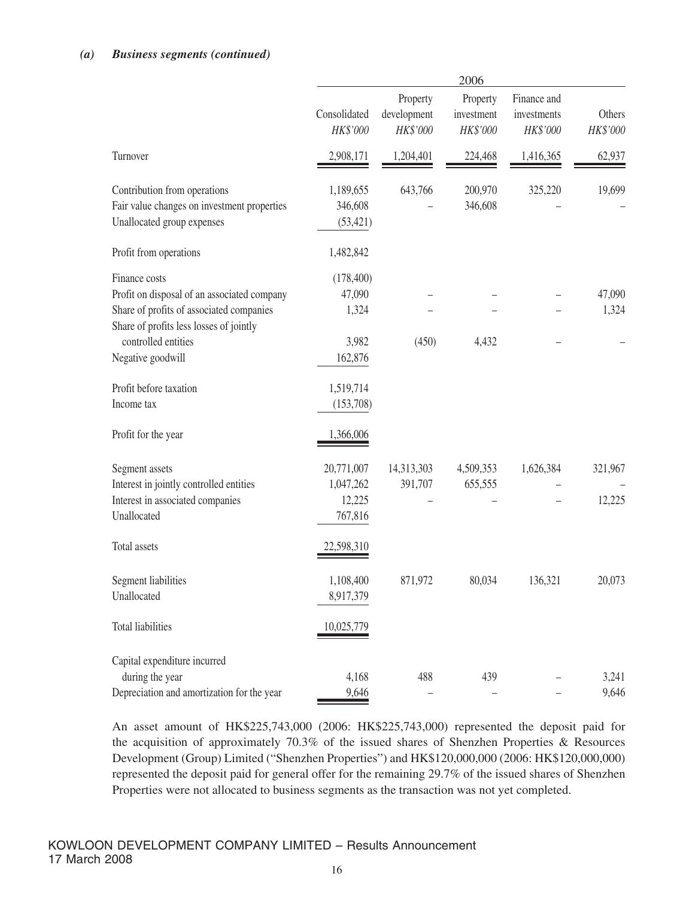#### *(a) Business segments (continued)*

|                                                                                                                                                                                                 | 2006                                              |                                     |                                    |                                        |                      |
|-------------------------------------------------------------------------------------------------------------------------------------------------------------------------------------------------|---------------------------------------------------|-------------------------------------|------------------------------------|----------------------------------------|----------------------|
|                                                                                                                                                                                                 | Consolidated<br>HK\$'000                          | Property<br>development<br>HK\$'000 | Property<br>investment<br>HK\$'000 | Finance and<br>investments<br>HK\$'000 | Others<br>$HK\$'000$ |
| Turnover                                                                                                                                                                                        | 2,908,171                                         | 1,204,401                           | 224,468                            | 1,416,365                              | 62,937               |
| Contribution from operations<br>Fair value changes on investment properties<br>Unallocated group expenses                                                                                       | 1,189,655<br>346,608<br>(53, 421)                 | 643,766                             | 200,970<br>346,608                 | 325,220                                | 19,699               |
| Profit from operations                                                                                                                                                                          | 1,482,842                                         |                                     |                                    |                                        |                      |
| Finance costs<br>Profit on disposal of an associated company<br>Share of profits of associated companies<br>Share of profits less losses of jointly<br>controlled entities<br>Negative goodwill | (178, 400)<br>47,090<br>1,324<br>3,982<br>162,876 | (450)                               | 4,432                              |                                        | 47,090<br>1,324      |
| Profit before taxation<br>Income tax                                                                                                                                                            | 1,519,714<br>(153,708)                            |                                     |                                    |                                        |                      |
| Profit for the year                                                                                                                                                                             | 1,366,006                                         |                                     |                                    |                                        |                      |
| Segment assets<br>Interest in jointly controlled entities<br>Interest in associated companies<br>Unallocated                                                                                    | 20,771,007<br>1,047,262<br>12,225<br>767,816      | 14,313,303<br>391,707               | 4,509,353<br>655,555               | 1,626,384                              | 321,967<br>12,225    |
| Total assets                                                                                                                                                                                    | 22,598,310                                        |                                     |                                    |                                        |                      |
| Segment liabilities<br>Unallocated                                                                                                                                                              | 1,108,400<br>8,917,379                            | 871,972                             | 80,034                             | 136,321                                | 20,073               |
| <b>Total liabilities</b>                                                                                                                                                                        | 10,025,779                                        |                                     |                                    |                                        |                      |
| Capital expenditure incurred<br>during the year<br>Depreciation and amortization for the year                                                                                                   | 4,168<br>9,646                                    | 488                                 | 439                                |                                        | 3,241<br>9,646       |

An asset amount of HK\$225,743,000 (2006: HK\$225,743,000) represented the deposit paid for the acquisition of approximately 70.3% of the issued shares of Shenzhen Properties & Resources Development (Group) Limited ("Shenzhen Properties") and HK\$120,000,000 (2006: HK\$120,000,000) represented the deposit paid for general offer for the remaining 29.7% of the issued shares of Shenzhen Properties were not allocated to business segments as the transaction was not yet completed.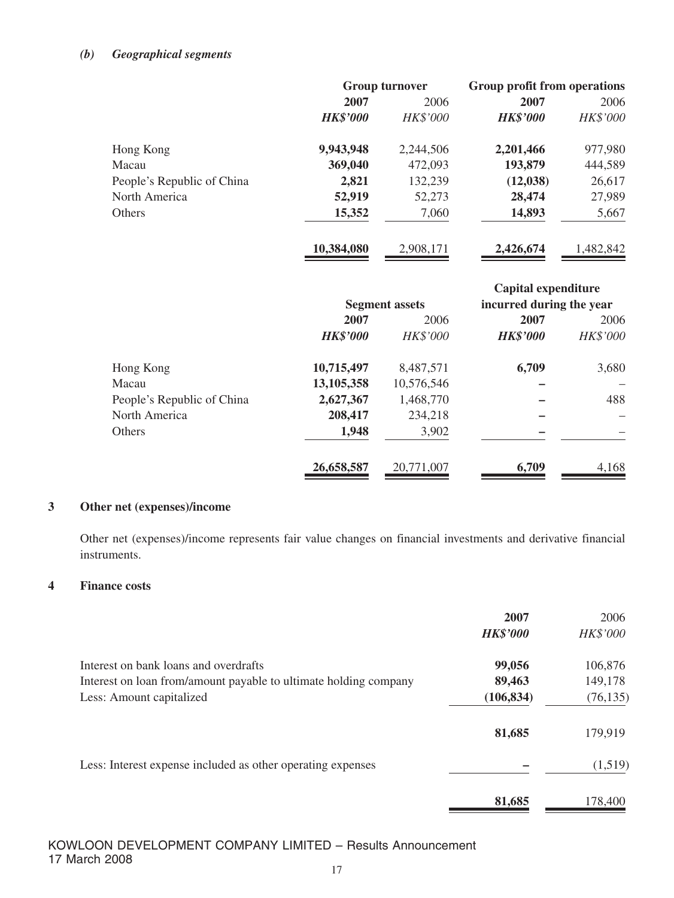#### *(b) Geographical segments*

|                            | <b>Group turnover</b> |                 | Group profit from operations |           |
|----------------------------|-----------------------|-----------------|------------------------------|-----------|
|                            | 2007                  | 2006            | 2007                         | 2006      |
|                            | <b>HK\$'000</b>       | <b>HK\$'000</b> | <b>HK\$'000</b>              | HK\$'000  |
| Hong Kong                  | 9,943,948             | 2,244,506       | 2,201,466                    | 977,980   |
| Macau                      | 369,040               | 472,093         | 193,879                      | 444,589   |
| People's Republic of China | 2,821                 | 132,239         | (12, 038)                    | 26,617    |
| North America              | 52,919                | 52,273          | 28,474                       | 27,989    |
| <b>Others</b>              | 15,352                | 7,060           | 14,893                       | 5,667     |
|                            | 10,384,080            | 2,908,171       | 2,426,674                    | 1,482,842 |

|                            |                       |            | Capital expenditure      |          |
|----------------------------|-----------------------|------------|--------------------------|----------|
|                            | <b>Segment assets</b> |            | incurred during the year |          |
|                            | 2007                  | 2006       | 2007                     | 2006     |
|                            | <b>HK\$'000</b>       | HK\$'000   | <b>HK\$'000</b>          | HK\$'000 |
| Hong Kong                  | 10,715,497            | 8,487,571  | 6,709                    | 3,680    |
| Macau                      | 13,105,358            | 10,576,546 |                          |          |
| People's Republic of China | 2,627,367             | 1,468,770  |                          | 488      |
| North America              | 208,417               | 234,218    |                          |          |
| <b>Others</b>              | 1,948                 | 3,902      |                          |          |
|                            | 26,658,587            | 20,771,007 | 6,709                    | 4,168    |

## **3 Other net (expenses)/income**

Other net (expenses)/income represents fair value changes on financial investments and derivative financial instruments.

#### **4 Finance costs**

|                                                                  | 2007<br><b>HK\$'000</b> | 2006<br>HK\$'000 |
|------------------------------------------------------------------|-------------------------|------------------|
| Interest on bank loans and overdrafts                            | 99,056                  | 106,876          |
| Interest on loan from/amount payable to ultimate holding company | 89,463                  | 149,178          |
| Less: Amount capitalized                                         | (106, 834)              | (76, 135)        |
|                                                                  | 81,685                  | 179,919          |
| Less: Interest expense included as other operating expenses      |                         | (1,519)          |
|                                                                  | 81,685                  | 178,400          |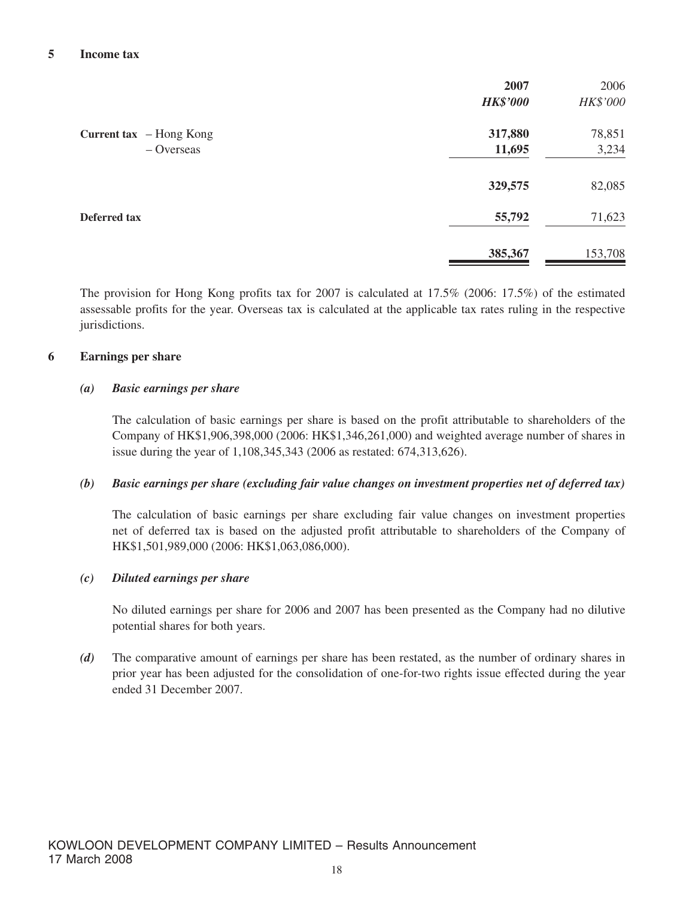|                         | 2007            | 2006     |
|-------------------------|-----------------|----------|
|                         | <b>HK\$'000</b> | HK\$'000 |
| Current tax - Hong Kong | 317,880         | 78,851   |
| $-$ Overseas            | 11,695          | 3,234    |
|                         | 329,575         | 82,085   |
| Deferred tax            | 55,792          | 71,623   |
|                         | 385,367         | 153,708  |

The provision for Hong Kong profits tax for 2007 is calculated at 17.5% (2006: 17.5%) of the estimated assessable profits for the year. Overseas tax is calculated at the applicable tax rates ruling in the respective jurisdictions.

#### **6 Earnings per share**

#### *(a) Basic earnings per share*

The calculation of basic earnings per share is based on the profit attributable to shareholders of the Company of HK\$1,906,398,000 (2006: HK\$1,346,261,000) and weighted average number of shares in issue during the year of 1,108,345,343 (2006 as restated: 674,313,626).

#### *(b) Basic earnings per share (excluding fair value changes on investment properties net of deferred tax)*

The calculation of basic earnings per share excluding fair value changes on investment properties net of deferred tax is based on the adjusted profit attributable to shareholders of the Company of HK\$1,501,989,000 (2006: HK\$1,063,086,000).

#### *(c) Diluted earnings per share*

No diluted earnings per share for 2006 and 2007 has been presented as the Company had no dilutive potential shares for both years.

*(d)* The comparative amount of earnings per share has been restated, as the number of ordinary shares in prior year has been adjusted for the consolidation of one-for-two rights issue effected during the year ended 31 December 2007.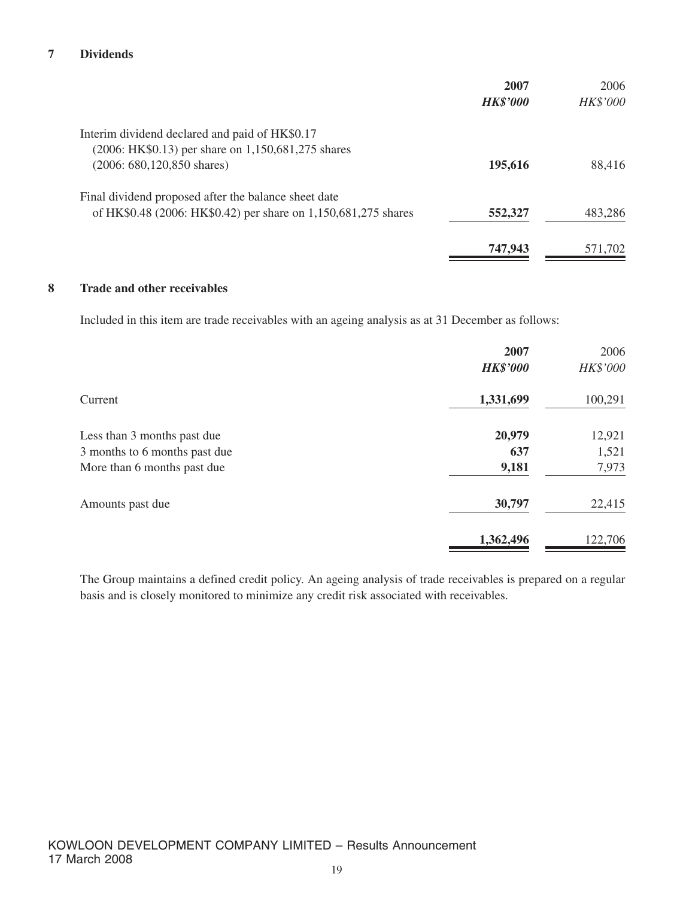#### **7 Dividends**

|                                                                | 2007            | 2006            |
|----------------------------------------------------------------|-----------------|-----------------|
|                                                                | <b>HK\$'000</b> | <b>HK\$'000</b> |
| Interim dividend declared and paid of HK\$0.17                 |                 |                 |
| (2006: HK\$0.13) per share on 1,150,681,275 shares             |                 |                 |
| $(2006: 680, 120, 850$ shares)                                 | 195,616         | 88,416          |
| Final dividend proposed after the balance sheet date           |                 |                 |
| of HK\$0.48 (2006: HK\$0.42) per share on 1,150,681,275 shares | 552,327         | 483,286         |
|                                                                | 747,943         | 571,702         |
|                                                                |                 |                 |

#### **8 Trade and other receivables**

Included in this item are trade receivables with an ageing analysis as at 31 December as follows:

|                               | 2007<br><b>HK\$'000</b> | 2006<br>HK\$'000 |
|-------------------------------|-------------------------|------------------|
| Current                       | 1,331,699               | 100,291          |
| Less than 3 months past due   | 20,979                  | 12,921           |
| 3 months to 6 months past due | 637                     | 1,521            |
| More than 6 months past due   | 9,181                   | 7,973            |
| Amounts past due              | 30,797                  | 22,415           |
|                               | 1,362,496               | 122,706          |

The Group maintains a defined credit policy. An ageing analysis of trade receivables is prepared on a regular basis and is closely monitored to minimize any credit risk associated with receivables.